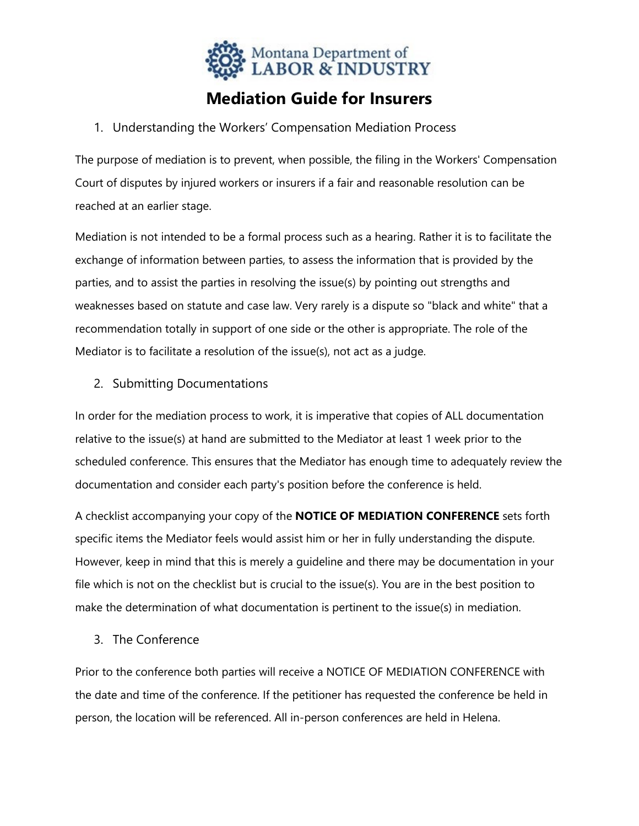

# **Mediation Guide for Insurers**

### 1. Understanding the Workers' Compensation Mediation Process

The purpose of mediation is to prevent, when possible, the filing in the Workers' Compensation Court of disputes by injured workers or insurers if a fair and reasonable resolution can be reached at an earlier stage.

Mediation is not intended to be a formal process such as a hearing. Rather it is to facilitate the exchange of information between parties, to assess the information that is provided by the parties, and to assist the parties in resolving the issue(s) by pointing out strengths and weaknesses based on statute and case law. Very rarely is a dispute so "black and white" that a recommendation totally in support of one side or the other is appropriate. The role of the Mediator is to facilitate a resolution of the issue(s), not act as a judge.

## 2. Submitting Documentations

In order for the mediation process to work, it is imperative that copies of ALL documentation relative to the issue(s) at hand are submitted to the Mediator at least 1 week prior to the scheduled conference. This ensures that the Mediator has enough time to adequately review the documentation and consider each party's position before the conference is held.

A checklist accompanying your copy of the **NOTICE OF MEDIATION CONFERENCE** sets forth specific items the Mediator feels would assist him or her in fully understanding the dispute. However, keep in mind that this is merely a guideline and there may be documentation in your file which is not on the checklist but is crucial to the issue(s). You are in the best position to make the determination of what documentation is pertinent to the issue(s) in mediation.

#### 3. The Conference

Prior to the conference both parties will receive a NOTICE OF MEDIATION CONFERENCE with the date and time of the conference. If the petitioner has requested the conference be held in person, the location will be referenced. All in-person conferences are held in Helena.